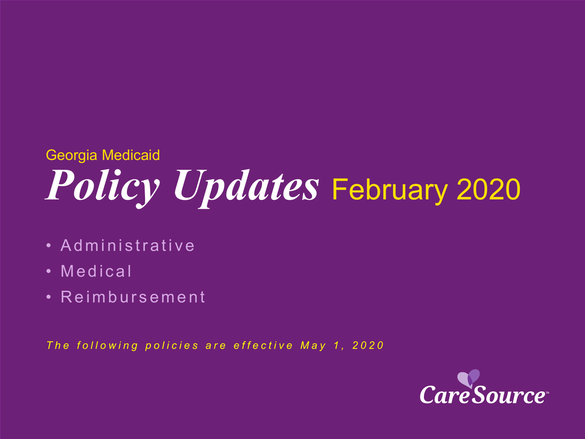# *Policy Updates* February 2020 Georgia Medicaid

- Administrative
- Medical
- Reimbursement

*The following policies are effective May 1, 2020*

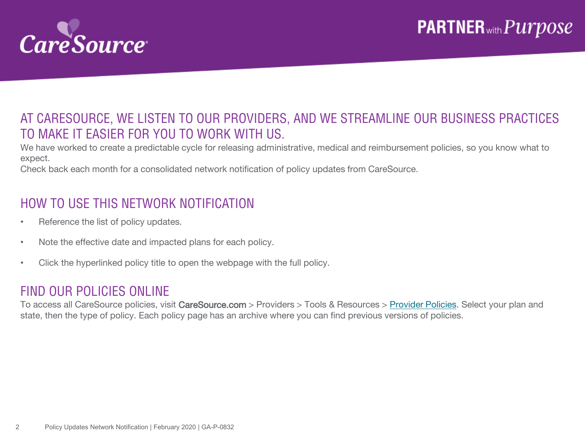

### AT CARESOURCE, WE LISTEN TO OUR PROVIDERS, AND WE STREAMLINE OUR BUSINESS PRACTICES TO MAKE IT EASIER FOR YOU TO WORK WITH US.

We have worked to create a predictable cycle for releasing administrative, medical and reimbursement policies, so you know what to expect.

Check back each month for a consolidated network notification of policy updates from CareSource.

### HOW TO USE THIS NETWORK NOTIFICATION

- Reference the list of policy updates.
- Note the effective date and impacted plans for each policy.
- Click the hyperlinked policy title to open the webpage with the full policy.

#### FIND OUR POLICIES ONLINE

To access all CareSource policies, visit CareSource.com > Providers > Tools & Resources > [Provider Policies.](https://www.caresource.com/providers/tools-resources/health-partner-policies/) Select your plan and state, then the type of policy. Each policy page has an archive where you can find previous versions of policies.